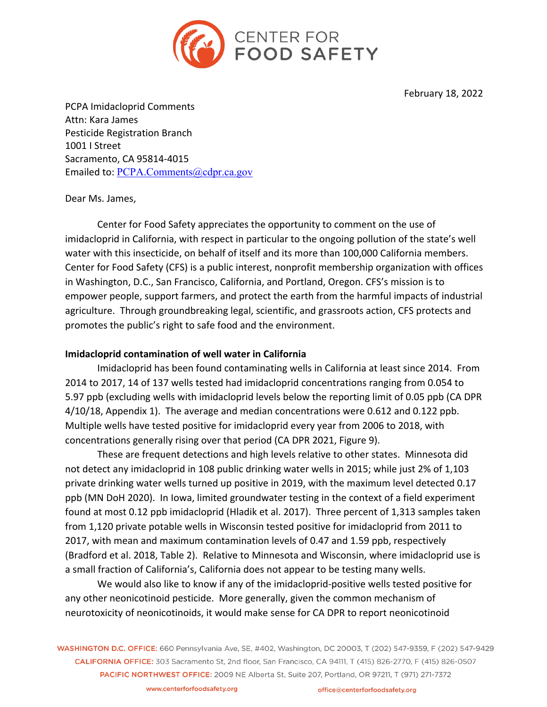

February 18, 2022

PCPA Imidacloprid Comments Attn: Kara James Pesticide Registration Branch 1001 I Street Sacramento, CA 95814-4015 Emailed to: PCPA.Comments@cdpr.ca.gov

Dear Ms. James,

Center for Food Safety appreciates the opportunity to comment on the use of imidacloprid in California, with respect in particular to the ongoing pollution of the state's well water with this insecticide, on behalf of itself and its more than 100,000 California members. Center for Food Safety (CFS) is a public interest, nonprofit membership organization with offices in Washington, D.C., San Francisco, California, and Portland, Oregon. CFS's mission is to empower people, support farmers, and protect the earth from the harmful impacts of industrial agriculture. Through groundbreaking legal, scientific, and grassroots action, CFS protects and promotes the public's right to safe food and the environment.

# **Imidacloprid contamination of well water in California**

Imidacloprid has been found contaminating wells in California at least since 2014. From 2014 to 2017, 14 of 137 wells tested had imidacloprid concentrations ranging from 0.054 to 5.97 ppb (excluding wells with imidacloprid levels below the reporting limit of 0.05 ppb (CA DPR 4/10/18, Appendix 1). The average and median concentrations were 0.612 and 0.122 ppb. Multiple wells have tested positive for imidacloprid every year from 2006 to 2018, with concentrations generally rising over that period (CA DPR 2021, Figure 9).

These are frequent detections and high levels relative to other states. Minnesota did not detect any imidacloprid in 108 public drinking water wells in 2015; while just 2% of 1,103 private drinking water wells turned up positive in 2019, with the maximum level detected 0.17 ppb (MN DoH 2020). In Iowa, limited groundwater testing in the context of a field experiment found at most 0.12 ppb imidacloprid (Hladik et al. 2017). Three percent of 1,313 samples taken from 1,120 private potable wells in Wisconsin tested positive for imidacloprid from 2011 to 2017, with mean and maximum contamination levels of 0.47 and 1.59 ppb, respectively (Bradford et al. 2018, Table 2). Relative to Minnesota and Wisconsin, where imidacloprid use is a small fraction of California's, California does not appear to be testing many wells.

We would also like to know if any of the imidacloprid-positive wells tested positive for any other neonicotinoid pesticide. More generally, given the common mechanism of neurotoxicity of neonicotinoids, it would make sense for CA DPR to report neonicotinoid

WASHINGTON D.C. OFFICE: 660 Pennsylvania Ave, SE, #402, Washington, DC 20003, T (202) 547-9359, F (202) 547-9429 CALIFORNIA OFFICE: 303 Sacramento St, 2nd floor, San Francisco, CA 94111, T (415) 826-2770, F (415) 826-0507 PACIFIC NORTHWEST OFFICE: 2009 NE Alberta St, Suite 207, Portland, OR 97211, T (971) 271-7372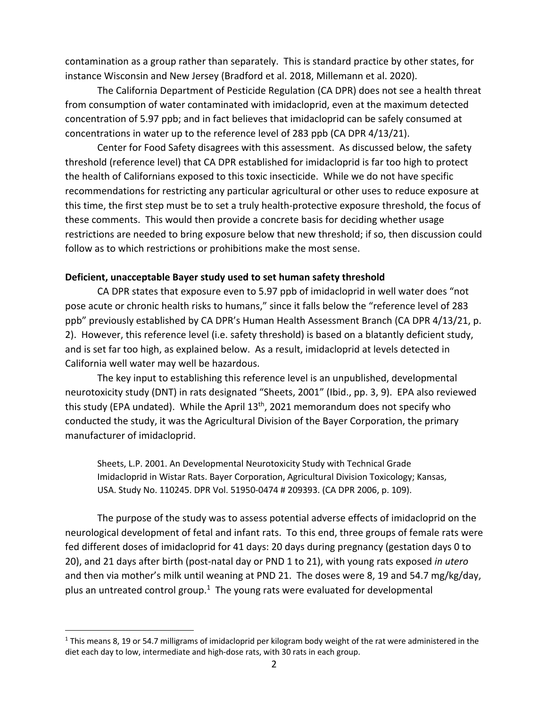contamination as a group rather than separately. This is standard practice by other states, for instance Wisconsin and New Jersey (Bradford et al. 2018, Millemann et al. 2020).

The California Department of Pesticide Regulation (CA DPR) does not see a health threat from consumption of water contaminated with imidacloprid, even at the maximum detected concentration of 5.97 ppb; and in fact believes that imidacloprid can be safely consumed at concentrations in water up to the reference level of 283 ppb (CA DPR 4/13/21).

Center for Food Safety disagrees with this assessment. As discussed below, the safety threshold (reference level) that CA DPR established for imidacloprid is far too high to protect the health of Californians exposed to this toxic insecticide. While we do not have specific recommendations for restricting any particular agricultural or other uses to reduce exposure at this time, the first step must be to set a truly health-protective exposure threshold, the focus of these comments. This would then provide a concrete basis for deciding whether usage restrictions are needed to bring exposure below that new threshold; if so, then discussion could follow as to which restrictions or prohibitions make the most sense.

## **Deficient, unacceptable Bayer study used to set human safety threshold**

CA DPR states that exposure even to 5.97 ppb of imidacloprid in well water does "not pose acute or chronic health risks to humans," since it falls below the "reference level of 283 ppb" previously established by CA DPR's Human Health Assessment Branch (CA DPR 4/13/21, p. 2). However, this reference level (i.e. safety threshold) is based on a blatantly deficient study, and is set far too high, as explained below. As a result, imidacloprid at levels detected in California well water may well be hazardous.

The key input to establishing this reference level is an unpublished, developmental neurotoxicity study (DNT) in rats designated "Sheets, 2001" (Ibid., pp. 3, 9). EPA also reviewed this study (EPA undated). While the April 13<sup>th</sup>, 2021 memorandum does not specify who conducted the study, it was the Agricultural Division of the Bayer Corporation, the primary manufacturer of imidacloprid.

Sheets, L.P. 2001. An Developmental Neurotoxicity Study with Technical Grade Imidacloprid in Wistar Rats. Bayer Corporation, Agricultural Division Toxicology; Kansas, USA. Study No. 110245. DPR Vol. 51950-0474 # 209393. (CA DPR 2006, p. 109).

The purpose of the study was to assess potential adverse effects of imidacloprid on the neurological development of fetal and infant rats. To this end, three groups of female rats were fed different doses of imidacloprid for 41 days: 20 days during pregnancy (gestation days 0 to 20), and 21 days after birth (post-natal day or PND 1 to 21), with young rats exposed *in utero* and then via mother's milk until weaning at PND 21. The doses were 8, 19 and 54.7 mg/kg/day, plus an untreated control group. $1$  The young rats were evaluated for developmental

 $1$  This means 8, 19 or 54.7 milligrams of imidacloprid per kilogram body weight of the rat were administered in the diet each day to low, intermediate and high-dose rats, with 30 rats in each group.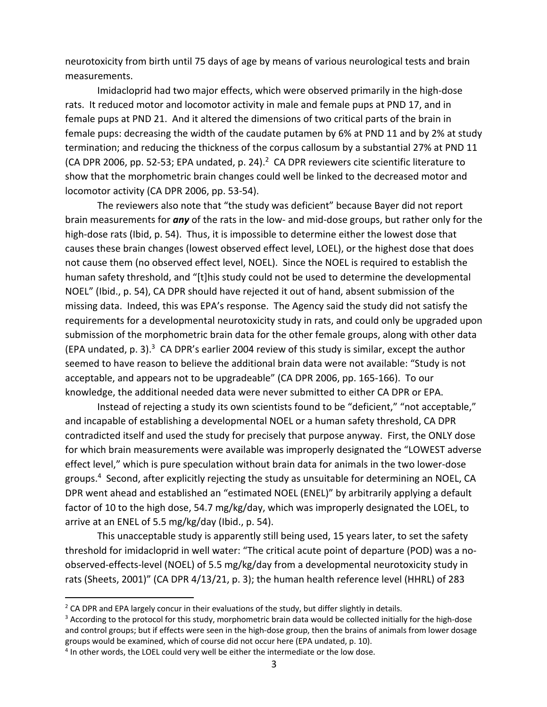neurotoxicity from birth until 75 days of age by means of various neurological tests and brain measurements.

Imidacloprid had two major effects, which were observed primarily in the high-dose rats. It reduced motor and locomotor activity in male and female pups at PND 17, and in female pups at PND 21. And it altered the dimensions of two critical parts of the brain in female pups: decreasing the width of the caudate putamen by 6% at PND 11 and by 2% at study termination; and reducing the thickness of the corpus callosum by a substantial 27% at PND 11 (CA DPR 2006, pp. 52-53; EPA undated, p. 24). $^2$  CA DPR reviewers cite scientific literature to show that the morphometric brain changes could well be linked to the decreased motor and locomotor activity (CA DPR 2006, pp. 53-54).

The reviewers also note that "the study was deficient" because Bayer did not report brain measurements for *any* of the rats in the low- and mid-dose groups, but rather only for the high-dose rats (Ibid, p. 54). Thus, it is impossible to determine either the lowest dose that causes these brain changes (lowest observed effect level, LOEL), or the highest dose that does not cause them (no observed effect level, NOEL). Since the NOEL is required to establish the human safety threshold, and "[t]his study could not be used to determine the developmental NOEL" (Ibid., p. 54), CA DPR should have rejected it out of hand, absent submission of the missing data. Indeed, this was EPA's response. The Agency said the study did not satisfy the requirements for a developmental neurotoxicity study in rats, and could only be upgraded upon submission of the morphometric brain data for the other female groups, along with other data (EPA undated,  $p. 3$ ).<sup>3</sup> CA DPR's earlier 2004 review of this study is similar, except the author seemed to have reason to believe the additional brain data were not available: "Study is not acceptable, and appears not to be upgradeable" (CA DPR 2006, pp. 165-166). To our knowledge, the additional needed data were never submitted to either CA DPR or EPA.

Instead of rejecting a study its own scientists found to be "deficient," "not acceptable," and incapable of establishing a developmental NOEL or a human safety threshold, CA DPR contradicted itself and used the study for precisely that purpose anyway. First, the ONLY dose for which brain measurements were available was improperly designated the "LOWEST adverse effect level," which is pure speculation without brain data for animals in the two lower-dose groups.4 Second, after explicitly rejecting the study as unsuitable for determining an NOEL, CA DPR went ahead and established an "estimated NOEL (ENEL)" by arbitrarily applying a default factor of 10 to the high dose, 54.7 mg/kg/day, which was improperly designated the LOEL, to arrive at an ENEL of 5.5 mg/kg/day (Ibid., p. 54).

This unacceptable study is apparently still being used, 15 years later, to set the safety threshold for imidacloprid in well water: "The critical acute point of departure (POD) was a noobserved-effects-level (NOEL) of 5.5 mg/kg/day from a developmental neurotoxicity study in rats (Sheets, 2001)" (CA DPR 4/13/21, p. 3); the human health reference level (HHRL) of 283

<sup>&</sup>lt;sup>2</sup> CA DPR and EPA largely concur in their evaluations of the study, but differ slightly in details.

<sup>&</sup>lt;sup>3</sup> According to the protocol for this study, morphometric brain data would be collected initially for the high-dose and control groups; but if effects were seen in the high-dose group, then the brains of animals from lower dosage groups would be examined, which of course did not occur here (EPA undated, p. 10).

<sup>&</sup>lt;sup>4</sup> In other words, the LOEL could very well be either the intermediate or the low dose.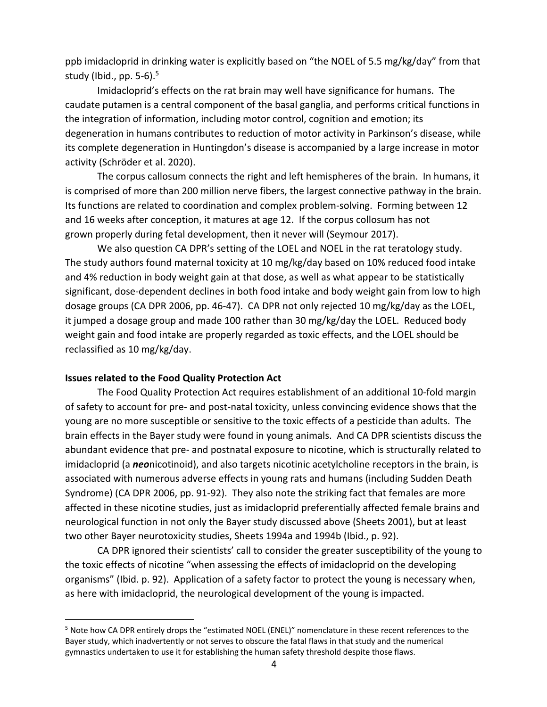ppb imidacloprid in drinking water is explicitly based on "the NOEL of 5.5 mg/kg/day" from that study (Ibid., pp.  $5-6$ ).<sup>5</sup>

Imidacloprid's effects on the rat brain may well have significance for humans. The caudate putamen is a central component of the basal ganglia, and performs critical functions in the integration of information, including motor control, cognition and emotion; its degeneration in humans contributes to reduction of motor activity in Parkinson's disease, while its complete degeneration in Huntingdon's disease is accompanied by a large increase in motor activity (Schröder et al. 2020).

The corpus callosum connects the right and left hemispheres of the brain. In humans, it is comprised of more than 200 million nerve fibers, the largest connective pathway in the brain. Its functions are related to coordination and complex problem-solving. Forming between 12 and 16 weeks after conception, it matures at age 12. If the corpus collosum has not grown properly during fetal development, then it never will (Seymour 2017).

We also question CA DPR's setting of the LOEL and NOEL in the rat teratology study. The study authors found maternal toxicity at 10 mg/kg/day based on 10% reduced food intake and 4% reduction in body weight gain at that dose, as well as what appear to be statistically significant, dose-dependent declines in both food intake and body weight gain from low to high dosage groups (CA DPR 2006, pp. 46-47). CA DPR not only rejected 10 mg/kg/day as the LOEL, it jumped a dosage group and made 100 rather than 30 mg/kg/day the LOEL. Reduced body weight gain and food intake are properly regarded as toxic effects, and the LOEL should be reclassified as 10 mg/kg/day.

## **Issues related to the Food Quality Protection Act**

The Food Quality Protection Act requires establishment of an additional 10-fold margin of safety to account for pre- and post-natal toxicity, unless convincing evidence shows that the young are no more susceptible or sensitive to the toxic effects of a pesticide than adults. The brain effects in the Bayer study were found in young animals. And CA DPR scientists discuss the abundant evidence that pre- and postnatal exposure to nicotine, which is structurally related to imidacloprid (a *neo*nicotinoid), and also targets nicotinic acetylcholine receptors in the brain, is associated with numerous adverse effects in young rats and humans (including Sudden Death Syndrome) (CA DPR 2006, pp. 91-92). They also note the striking fact that females are more affected in these nicotine studies, just as imidacloprid preferentially affected female brains and neurological function in not only the Bayer study discussed above (Sheets 2001), but at least two other Bayer neurotoxicity studies, Sheets 1994a and 1994b (Ibid., p. 92).

CA DPR ignored their scientists' call to consider the greater susceptibility of the young to the toxic effects of nicotine "when assessing the effects of imidacloprid on the developing organisms" (Ibid. p. 92). Application of a safety factor to protect the young is necessary when, as here with imidacloprid, the neurological development of the young is impacted.

<sup>5</sup> Note how CA DPR entirely drops the "estimated NOEL (ENEL)" nomenclature in these recent references to the Bayer study, which inadvertently or not serves to obscure the fatal flaws in that study and the numerical gymnastics undertaken to use it for establishing the human safety threshold despite those flaws.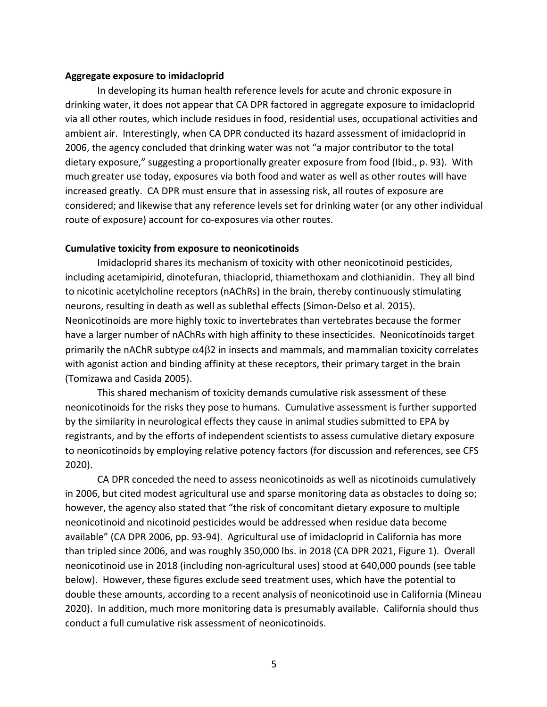#### **Aggregate exposure to imidacloprid**

In developing its human health reference levels for acute and chronic exposure in drinking water, it does not appear that CA DPR factored in aggregate exposure to imidacloprid via all other routes, which include residues in food, residential uses, occupational activities and ambient air. Interestingly, when CA DPR conducted its hazard assessment of imidacloprid in 2006, the agency concluded that drinking water was not "a major contributor to the total dietary exposure," suggesting a proportionally greater exposure from food (Ibid., p. 93). With much greater use today, exposures via both food and water as well as other routes will have increased greatly. CA DPR must ensure that in assessing risk, all routes of exposure are considered; and likewise that any reference levels set for drinking water (or any other individual route of exposure) account for co-exposures via other routes.

### **Cumulative toxicity from exposure to neonicotinoids**

Imidacloprid shares its mechanism of toxicity with other neonicotinoid pesticides, including acetamipirid, dinotefuran, thiacloprid, thiamethoxam and clothianidin. They all bind to nicotinic acetylcholine receptors (nAChRs) in the brain, thereby continuously stimulating neurons, resulting in death as well as sublethal effects (Simon-Delso et al. 2015). Neonicotinoids are more highly toxic to invertebrates than vertebrates because the former have a larger number of nAChRs with high affinity to these insecticides. Neonicotinoids target primarily the nAChR subtype  $\alpha$ 4 $\beta$ 2 in insects and mammals, and mammalian toxicity correlates with agonist action and binding affinity at these receptors, their primary target in the brain (Tomizawa and Casida 2005).

This shared mechanism of toxicity demands cumulative risk assessment of these neonicotinoids for the risks they pose to humans. Cumulative assessment is further supported by the similarity in neurological effects they cause in animal studies submitted to EPA by registrants, and by the efforts of independent scientists to assess cumulative dietary exposure to neonicotinoids by employing relative potency factors (for discussion and references, see CFS 2020).

CA DPR conceded the need to assess neonicotinoids as well as nicotinoids cumulatively in 2006, but cited modest agricultural use and sparse monitoring data as obstacles to doing so; however, the agency also stated that "the risk of concomitant dietary exposure to multiple neonicotinoid and nicotinoid pesticides would be addressed when residue data become available" (CA DPR 2006, pp. 93-94). Agricultural use of imidacloprid in California has more than tripled since 2006, and was roughly 350,000 lbs. in 2018 (CA DPR 2021, Figure 1). Overall neonicotinoid use in 2018 (including non-agricultural uses) stood at 640,000 pounds (see table below). However, these figures exclude seed treatment uses, which have the potential to double these amounts, according to a recent analysis of neonicotinoid use in California (Mineau 2020). In addition, much more monitoring data is presumably available. California should thus conduct a full cumulative risk assessment of neonicotinoids.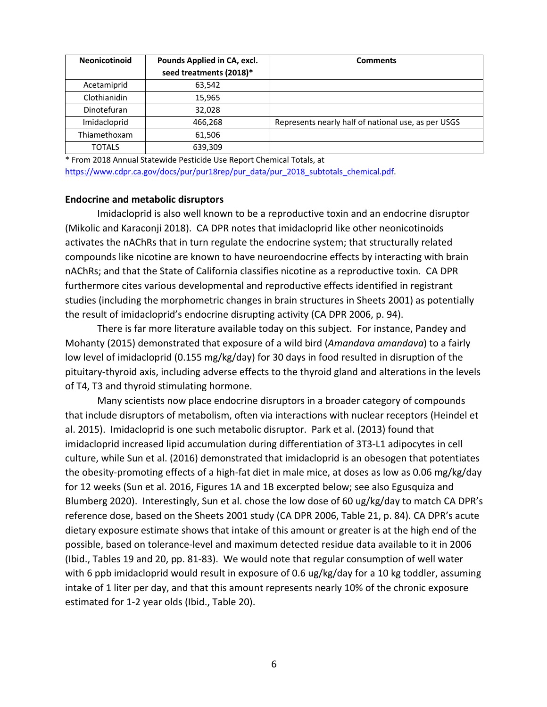| <b>Neonicotinoid</b> | Pounds Applied in CA, excl.<br>seed treatments (2018)* | <b>Comments</b>                                     |
|----------------------|--------------------------------------------------------|-----------------------------------------------------|
| Acetamiprid          | 63,542                                                 |                                                     |
| Clothianidin         | 15,965                                                 |                                                     |
| Dinotefuran          | 32,028                                                 |                                                     |
| Imidacloprid         | 466,268                                                | Represents nearly half of national use, as per USGS |
| Thiamethoxam         | 61,506                                                 |                                                     |
| <b>TOTALS</b>        | 639,309                                                |                                                     |

\* From 2018 Annual Statewide Pesticide Use Report Chemical Totals, at https://www.cdpr.ca.gov/docs/pur/pur18rep/pur\_data/pur\_2018\_subtotals\_chemical.pdf.

#### **Endocrine and metabolic disruptors**

Imidacloprid is also well known to be a reproductive toxin and an endocrine disruptor (Mikolic and Karaconji 2018). CA DPR notes that imidacloprid like other neonicotinoids activates the nAChRs that in turn regulate the endocrine system; that structurally related compounds like nicotine are known to have neuroendocrine effects by interacting with brain nAChRs; and that the State of California classifies nicotine as a reproductive toxin. CA DPR furthermore cites various developmental and reproductive effects identified in registrant studies (including the morphometric changes in brain structures in Sheets 2001) as potentially the result of imidacloprid's endocrine disrupting activity (CA DPR 2006, p. 94).

There is far more literature available today on this subject. For instance, Pandey and Mohanty (2015) demonstrated that exposure of a wild bird (*Amandava amandava*) to a fairly low level of imidacloprid (0.155 mg/kg/day) for 30 days in food resulted in disruption of the pituitary-thyroid axis, including adverse effects to the thyroid gland and alterations in the levels of T4, T3 and thyroid stimulating hormone.

Many scientists now place endocrine disruptors in a broader category of compounds that include disruptors of metabolism, often via interactions with nuclear receptors (Heindel et al. 2015). Imidacloprid is one such metabolic disruptor. Park et al. (2013) found that imidacloprid increased lipid accumulation during differentiation of 3T3-L1 adipocytes in cell culture, while Sun et al. (2016) demonstrated that imidacloprid is an obesogen that potentiates the obesity-promoting effects of a high-fat diet in male mice, at doses as low as 0.06 mg/kg/day for 12 weeks (Sun et al. 2016, Figures 1A and 1B excerpted below; see also Egusquiza and Blumberg 2020). Interestingly, Sun et al. chose the low dose of 60 ug/kg/day to match CA DPR's reference dose, based on the Sheets 2001 study (CA DPR 2006, Table 21, p. 84). CA DPR's acute dietary exposure estimate shows that intake of this amount or greater is at the high end of the possible, based on tolerance-level and maximum detected residue data available to it in 2006 (Ibid., Tables 19 and 20, pp. 81-83). We would note that regular consumption of well water with 6 ppb imidacloprid would result in exposure of 0.6 ug/kg/day for a 10 kg toddler, assuming intake of 1 liter per day, and that this amount represents nearly 10% of the chronic exposure estimated for 1-2 year olds (Ibid., Table 20).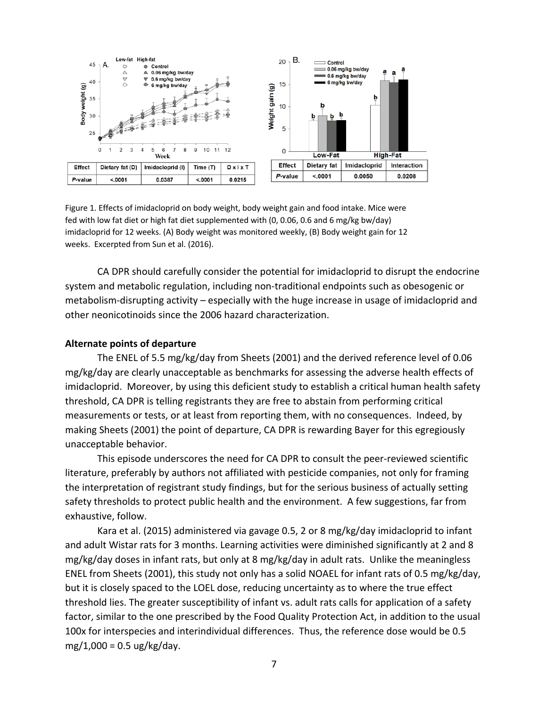

Figure 1. Effects of imidacloprid on body weight, body weight gain and food intake. Mice were fed with low fat diet or high fat diet supplemented with (0, 0.06, 0.6 and 6 mg/kg bw/day) imidacloprid for 12 weeks. (A) Body weight was monitored weekly, (B) Body weight gain for 12 weeks. Excerpted from Sun et al. (2016).

CA DPR should carefully consider the potential for imidacloprid to disrupt the endocrine system and metabolic regulation, including non-traditional endpoints such as obesogenic or metabolism-disrupting activity – especially with the huge increase in usage of imidacloprid and other neonicotinoids since the 2006 hazard characterization.

### **Alternate points of departure**

The ENEL of 5.5 mg/kg/day from Sheets (2001) and the derived reference level of 0.06 mg/kg/day are clearly unacceptable as benchmarks for assessing the adverse health effects of imidacloprid. Moreover, by using this deficient study to establish a critical human health safety threshold, CA DPR is telling registrants they are free to abstain from performing critical measurements or tests, or at least from reporting them, with no consequences. Indeed, by making Sheets (2001) the point of departure, CA DPR is rewarding Bayer for this egregiously unacceptable behavior.

This episode underscores the need for CA DPR to consult the peer-reviewed scientific literature, preferably by authors not affiliated with pesticide companies, not only for framing the interpretation of registrant study findings, but for the serious business of actually setting safety thresholds to protect public health and the environment. A few suggestions, far from exhaustive, follow.

Kara et al. (2015) administered via gavage 0.5, 2 or 8 mg/kg/day imidacloprid to infant and adult Wistar rats for 3 months. Learning activities were diminished significantly at 2 and 8 mg/kg/day doses in infant rats, but only at 8 mg/kg/day in adult rats. Unlike the meaningless ENEL from Sheets (2001), this study not only has a solid NOAEL for infant rats of 0.5 mg/kg/day, but it is closely spaced to the LOEL dose, reducing uncertainty as to where the true effect threshold lies. The greater susceptibility of infant vs. adult rats calls for application of a safety factor, similar to the one prescribed by the Food Quality Protection Act, in addition to the usual 100x for interspecies and interindividual differences. Thus, the reference dose would be 0.5 mg/1,000 =  $0.5 \text{ ug/kg/day}$ .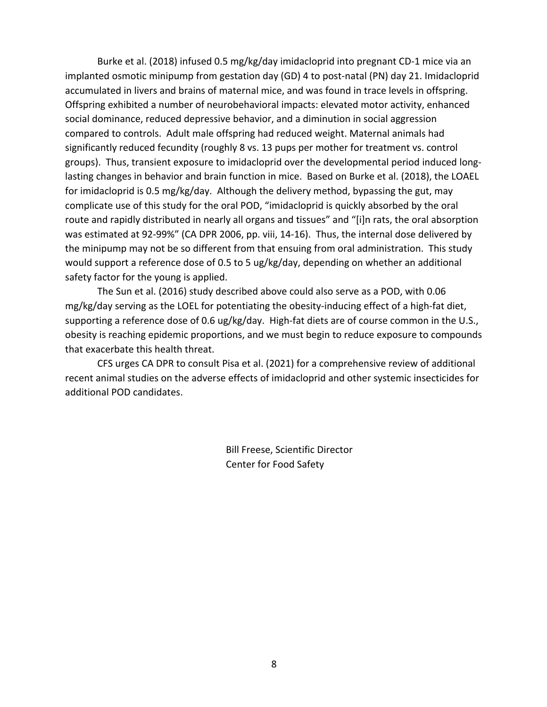Burke et al. (2018) infused 0.5 mg/kg/day imidacloprid into pregnant CD-1 mice via an implanted osmotic minipump from gestation day (GD) 4 to post-natal (PN) day 21. Imidacloprid accumulated in livers and brains of maternal mice, and was found in trace levels in offspring. Offspring exhibited a number of neurobehavioral impacts: elevated motor activity, enhanced social dominance, reduced depressive behavior, and a diminution in social aggression compared to controls. Adult male offspring had reduced weight. Maternal animals had significantly reduced fecundity (roughly 8 vs. 13 pups per mother for treatment vs. control groups). Thus, transient exposure to imidacloprid over the developmental period induced longlasting changes in behavior and brain function in mice. Based on Burke et al. (2018), the LOAEL for imidacloprid is 0.5 mg/kg/day. Although the delivery method, bypassing the gut, may complicate use of this study for the oral POD, "imidacloprid is quickly absorbed by the oral route and rapidly distributed in nearly all organs and tissues" and "[i]n rats, the oral absorption was estimated at 92-99%" (CA DPR 2006, pp. viii, 14-16). Thus, the internal dose delivered by the minipump may not be so different from that ensuing from oral administration. This study would support a reference dose of 0.5 to 5 ug/kg/day, depending on whether an additional safety factor for the young is applied.

The Sun et al. (2016) study described above could also serve as a POD, with 0.06 mg/kg/day serving as the LOEL for potentiating the obesity-inducing effect of a high-fat diet, supporting a reference dose of 0.6 ug/kg/day. High-fat diets are of course common in the U.S., obesity is reaching epidemic proportions, and we must begin to reduce exposure to compounds that exacerbate this health threat.

CFS urges CA DPR to consult Pisa et al. (2021) for a comprehensive review of additional recent animal studies on the adverse effects of imidacloprid and other systemic insecticides for additional POD candidates.

> Bill Freese, Scientific Director Center for Food Safety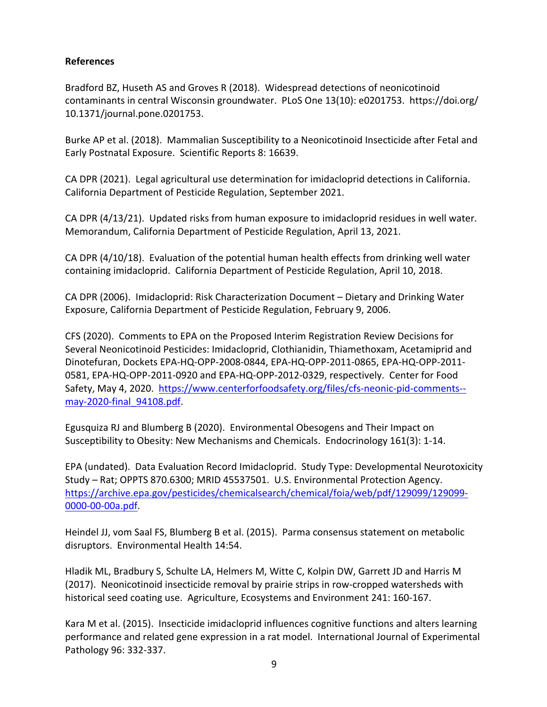# **References**

Bradford BZ, Huseth AS and Groves R (2018). Widespread detections of neonicotinoid contaminants in central Wisconsin groundwater. PLoS One 13(10): e0201753. https://doi.org/ 10.1371/journal.pone.0201753.

Burke AP et al. (2018). Mammalian Susceptibility to a Neonicotinoid Insecticide after Fetal and Early Postnatal Exposure. Scientific Reports 8: 16639.

CA DPR (2021). Legal agricultural use determination for imidacloprid detections in California. California Department of Pesticide Regulation, September 2021.

CA DPR (4/13/21). Updated risks from human exposure to imidacloprid residues in well water. Memorandum, California Department of Pesticide Regulation, April 13, 2021.

CA DPR (4/10/18). Evaluation of the potential human health effects from drinking well water containing imidacloprid. California Department of Pesticide Regulation, April 10, 2018.

CA DPR (2006). Imidacloprid: Risk Characterization Document – Dietary and Drinking Water Exposure, California Department of Pesticide Regulation, February 9, 2006.

CFS (2020). Comments to EPA on the Proposed Interim Registration Review Decisions for Several Neonicotinoid Pesticides: Imidacloprid, Clothianidin, Thiamethoxam, Acetamiprid and Dinotefuran, Dockets EPA-HQ-OPP-2008-0844, EPA-HQ-OPP-2011-0865, EPA-HQ-OPP-2011- 0581, EPA-HQ-OPP-2011-0920 and EPA-HQ-OPP-2012-0329, respectively. Center for Food Safety, May 4, 2020. https://www.centerforfoodsafety.org/files/cfs-neonic-pid-comments- may-2020-final\_94108.pdf.

Egusquiza RJ and Blumberg B (2020). Environmental Obesogens and Their Impact on Susceptibility to Obesity: New Mechanisms and Chemicals. Endocrinology 161(3): 1-14.

EPA (undated). Data Evaluation Record Imidacloprid. Study Type: Developmental Neurotoxicity Study – Rat; OPPTS 870.6300; MRID 45537501. U.S. Environmental Protection Agency. https://archive.epa.gov/pesticides/chemicalsearch/chemical/foia/web/pdf/129099/129099- 0000-00-00a.pdf.

Heindel JJ, vom Saal FS, Blumberg B et al. (2015). Parma consensus statement on metabolic disruptors. Environmental Health 14:54.

Hladik ML, Bradbury S, Schulte LA, Helmers M, Witte C, Kolpin DW, Garrett JD and Harris M (2017). Neonicotinoid insecticide removal by prairie strips in row-cropped watersheds with historical seed coating use. Agriculture, Ecosystems and Environment 241: 160-167.

Kara M et al. (2015). Insecticide imidacloprid influences cognitive functions and alters learning performance and related gene expression in a rat model. International Journal of Experimental Pathology 96: 332-337.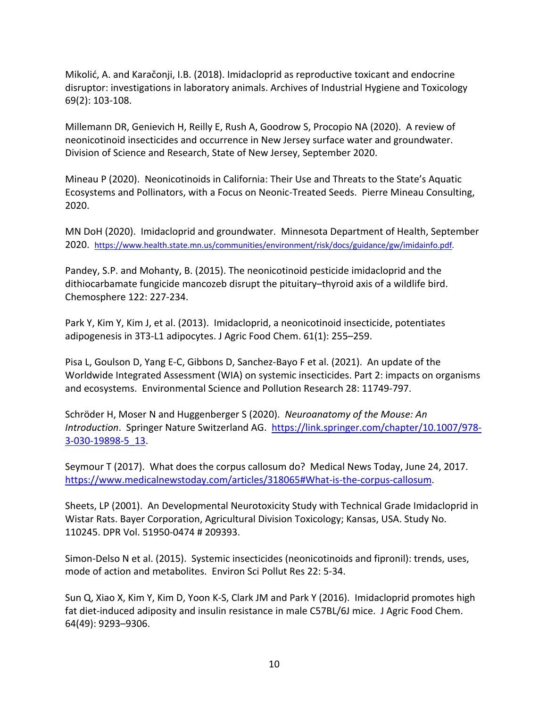Mikolić, A. and Karačonji, I.B. (2018). Imidacloprid as reproductive toxicant and endocrine disruptor: investigations in laboratory animals. Archives of Industrial Hygiene and Toxicology 69(2): 103-108.

Millemann DR, Genievich H, Reilly E, Rush A, Goodrow S, Procopio NA (2020). A review of neonicotinoid insecticides and occurrence in New Jersey surface water and groundwater. Division of Science and Research, State of New Jersey, September 2020.

Mineau P (2020). Neonicotinoids in California: Their Use and Threats to the State's Aquatic Ecosystems and Pollinators, with a Focus on Neonic-Treated Seeds. Pierre Mineau Consulting, 2020.

MN DoH (2020). Imidacloprid and groundwater. Minnesota Department of Health, September 2020. https://www.health.state.mn.us/communities/environment/risk/docs/guidance/gw/imidainfo.pdf.

Pandey, S.P. and Mohanty, B. (2015). The neonicotinoid pesticide imidacloprid and the dithiocarbamate fungicide mancozeb disrupt the pituitary–thyroid axis of a wildlife bird. Chemosphere 122: 227-234.

Park Y, Kim Y, Kim J, et al. (2013). Imidacloprid, a neonicotinoid insecticide, potentiates adipogenesis in 3T3-L1 adipocytes. J Agric Food Chem. 61(1): 255–259.

Pisa L, Goulson D, Yang E-C, Gibbons D, Sanchez-Bayo F et al. (2021). An update of the Worldwide Integrated Assessment (WIA) on systemic insecticides. Part 2: impacts on organisms and ecosystems. Environmental Science and Pollution Research 28: 11749-797.

Schröder H, Moser N and Huggenberger S (2020). *Neuroanatomy of the Mouse: An Introduction*. Springer Nature Switzerland AG. https://link.springer.com/chapter/10.1007/978- 3-030-19898-5\_13.

Seymour T (2017). What does the corpus callosum do? Medical News Today, June 24, 2017. https://www.medicalnewstoday.com/articles/318065#What-is-the-corpus-callosum.

Sheets, LP (2001). An Developmental Neurotoxicity Study with Technical Grade Imidacloprid in Wistar Rats. Bayer Corporation, Agricultural Division Toxicology; Kansas, USA. Study No. 110245. DPR Vol. 51950-0474 # 209393.

Simon-Delso N et al. (2015). Systemic insecticides (neonicotinoids and fipronil): trends, uses, mode of action and metabolites. Environ Sci Pollut Res 22: 5-34.

Sun Q, Xiao X, Kim Y, Kim D, Yoon K-S, Clark JM and Park Y (2016). Imidacloprid promotes high fat diet-induced adiposity and insulin resistance in male C57BL/6J mice. J Agric Food Chem. 64(49): 9293–9306.